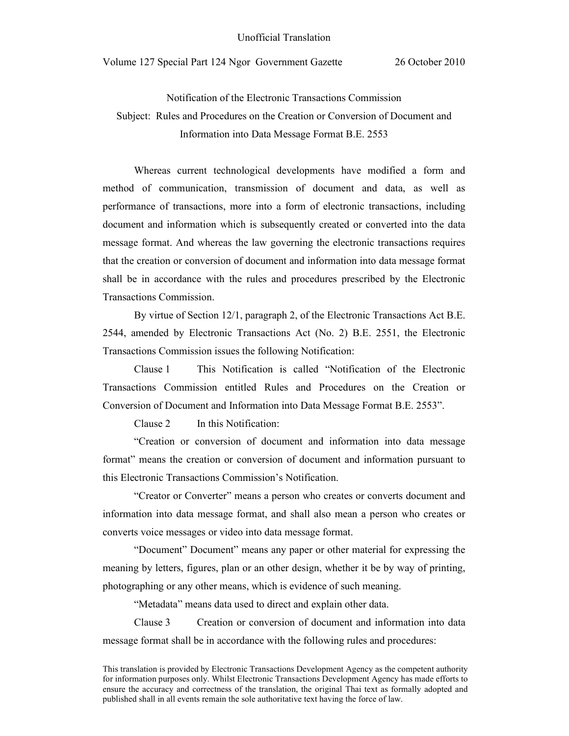Notification of the Electronic Transactions Commission Subject: Rules and Procedures on the Creation or Conversion of Document and Information into Data Message Format B.E. 2553

 Whereas current technological developments have modified a form and method of communication, transmission of document and data, as well as performance of transactions, more into a form of electronic transactions, including document and information which is subsequently created or converted into the data message format. And whereas the law governing the electronic transactions requires that the creation or conversion of document and information into data message format shall be in accordance with the rules and procedures prescribed by the Electronic Transactions Commission.

By virtue of Section 12/1, paragraph 2, of the Electronic Transactions Act B.E. 2544, amended by Electronic Transactions Act (No. 2) B.E. 2551, the Electronic Transactions Commission issues the following Notification:

Clause 1 This Notification is called "Notification of the Electronic Transactions Commission entitled Rules and Procedures on the Creation or Conversion of Document and Information into Data Message Format B.E. 2553".

Clause 2 In this Notification:

"Creation or conversion of document and information into data message format" means the creation or conversion of document and information pursuant to this Electronic Transactions Commission's Notification.

"Creator or Converter" means a person who creates or converts document and information into data message format, and shall also mean a person who creates or converts voice messages or video into data message format.

"Document" Document" means any paper or other material for expressing the meaning by letters, figures, plan or an other design, whether it be by way of printing, photographing or any other means, which is evidence of such meaning.

"Metadata" means data used to direct and explain other data.

Clause 3 Creation or conversion of document and information into data message format shall be in accordance with the following rules and procedures:

This translation is provided by Electronic Transactions Development Agency as the competent authority for information purposes only. Whilst Electronic Transactions Development Agency has made efforts to ensure the accuracy and correctness of the translation, the original Thai text as formally adopted and published shall in all events remain the sole authoritative text having the force of law.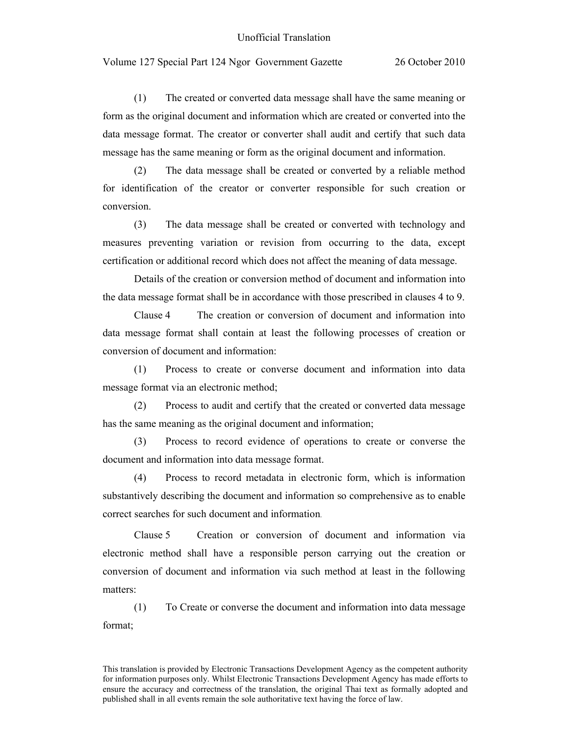(1) The created or converted data message shall have the same meaning or form as the original document and information which are created or converted into the data message format. The creator or converter shall audit and certify that such data message has the same meaning or form as the original document and information.

(2) The data message shall be created or converted by a reliable method for identification of the creator or converter responsible for such creation or conversion.

(3) The data message shall be created or converted with technology and measures preventing variation or revision from occurring to the data, except certification or additional record which does not affect the meaning of data message.

Details of the creation or conversion method of document and information into the data message format shall be in accordance with those prescribed in clauses 4 to 9.

Clause 4 The creation or conversion of document and information into data message format shall contain at least the following processes of creation or conversion of document and information:

(1) Process to create or converse document and information into data message format via an electronic method;

(2) Process to audit and certify that the created or converted data message has the same meaning as the original document and information;

(3) Process to record evidence of operations to create or converse the document and information into data message format.

(4) Process to record metadata in electronic form, which is information substantively describing the document and information so comprehensive as to enable correct searches for such document and information.

Clause 5 Creation or conversion of document and information via electronic method shall have a responsible person carrying out the creation or conversion of document and information via such method at least in the following matters:

(1) To Create or converse the document and information into data message format;

This translation is provided by Electronic Transactions Development Agency as the competent authority for information purposes only. Whilst Electronic Transactions Development Agency has made efforts to ensure the accuracy and correctness of the translation, the original Thai text as formally adopted and published shall in all events remain the sole authoritative text having the force of law.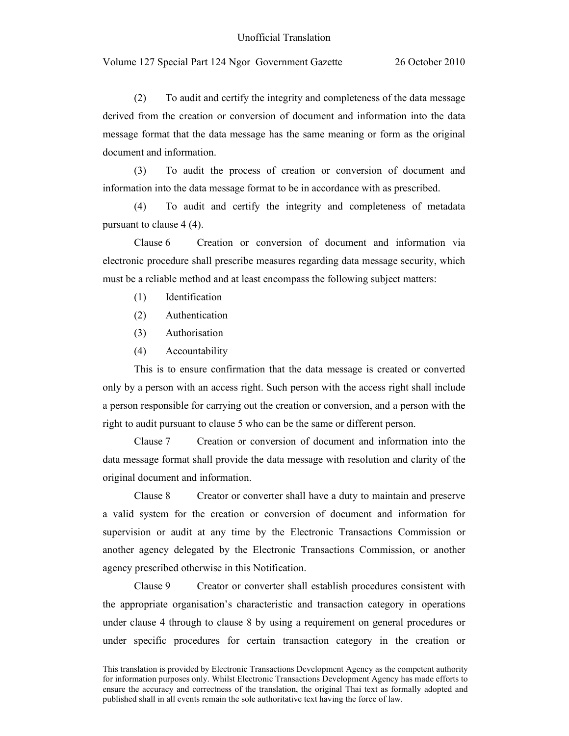(2) To audit and certify the integrity and completeness of the data message derived from the creation or conversion of document and information into the data message format that the data message has the same meaning or form as the original document and information.

(3) To audit the process of creation or conversion of document and information into the data message format to be in accordance with as prescribed.

(4) To audit and certify the integrity and completeness of metadata pursuant to clause 4 (4).

Clause 6 Creation or conversion of document and information via electronic procedure shall prescribe measures regarding data message security, which must be a reliable method and at least encompass the following subject matters:

- (1) Identification
- (2) Authentication
- (3) Authorisation
- (4) Accountability

 This is to ensure confirmation that the data message is created or converted only by a person with an access right. Such person with the access right shall include a person responsible for carrying out the creation or conversion, and a person with the right to audit pursuant to clause 5 who can be the same or different person.

 Clause 7 Creation or conversion of document and information into the data message format shall provide the data message with resolution and clarity of the original document and information.

 Clause 8 Creator or converter shall have a duty to maintain and preserve a valid system for the creation or conversion of document and information for supervision or audit at any time by the Electronic Transactions Commission or another agency delegated by the Electronic Transactions Commission, or another agency prescribed otherwise in this Notification.

 Clause 9 Creator or converter shall establish procedures consistent with the appropriate organisation's characteristic and transaction category in operations under clause 4 through to clause 8 by using a requirement on general procedures or under specific procedures for certain transaction category in the creation or

This translation is provided by Electronic Transactions Development Agency as the competent authority for information purposes only. Whilst Electronic Transactions Development Agency has made efforts to ensure the accuracy and correctness of the translation, the original Thai text as formally adopted and published shall in all events remain the sole authoritative text having the force of law.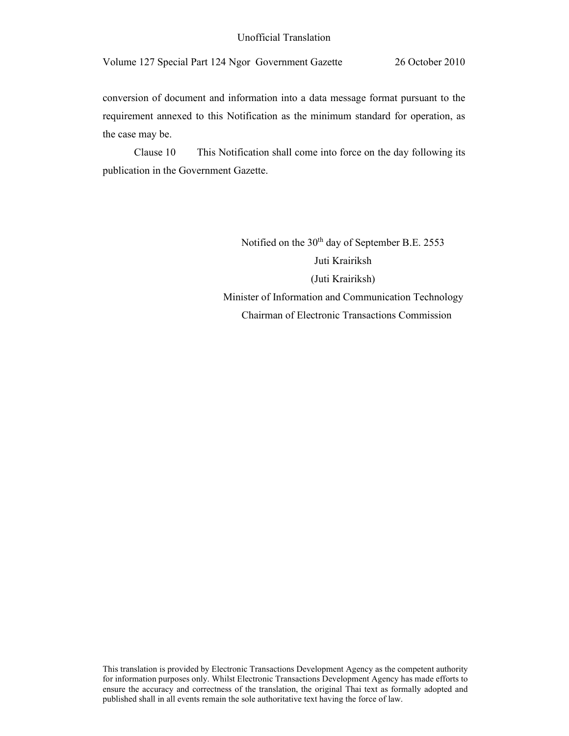conversion of document and information into a data message format pursuant to the requirement annexed to this Notification as the minimum standard for operation, as the case may be.

Clause 10 This Notification shall come into force on the day following its publication in the Government Gazette.

> Notified on the 30<sup>th</sup> day of September B.E. 2553 Juti Krairiksh (Juti Krairiksh) Minister of Information and Communication Technology Chairman of Electronic Transactions Commission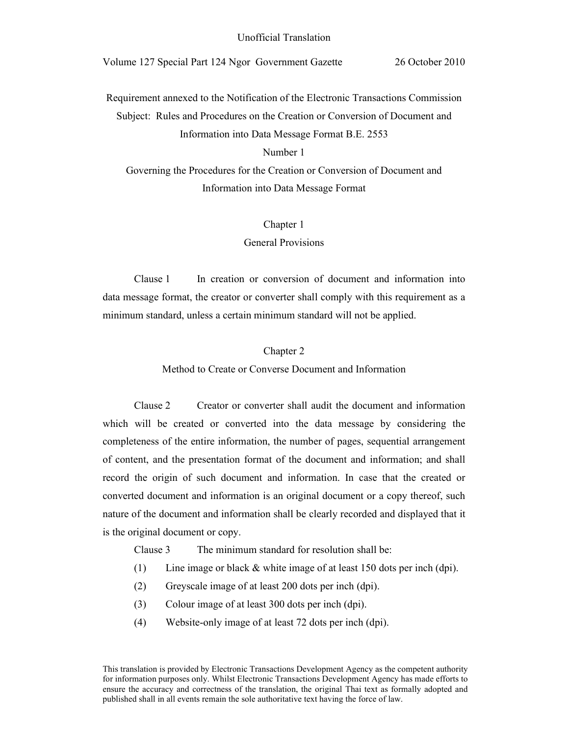Requirement annexed to the Notification of the Electronic Transactions Commission Subject: Rules and Procedures on the Creation or Conversion of Document and Information into Data Message Format B.E. 2553

Number 1

Governing the Procedures for the Creation or Conversion of Document and Information into Data Message Format

Chapter 1

General Provisions

 Clause 1 In creation or conversion of document and information into data message format, the creator or converter shall comply with this requirement as a minimum standard, unless a certain minimum standard will not be applied.

# Chapter 2

Method to Create or Converse Document and Information

Clause 2 Creator or converter shall audit the document and information which will be created or converted into the data message by considering the completeness of the entire information, the number of pages, sequential arrangement of content, and the presentation format of the document and information; and shall record the origin of such document and information. In case that the created or converted document and information is an original document or a copy thereof, such nature of the document and information shall be clearly recorded and displayed that it is the original document or copy.

Clause 3 The minimum standard for resolution shall be:

- (1) Line image or black  $\&$  white image of at least 150 dots per inch (dpi).
- (2) Greyscale image of at least 200 dots per inch (dpi).
- (3) Colour image of at least 300 dots per inch (dpi).
- (4) Website-only image of at least 72 dots per inch (dpi).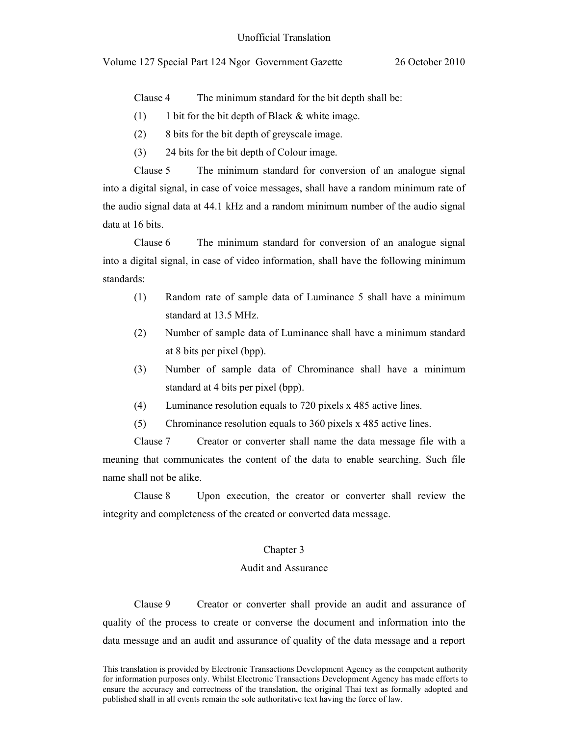Clause 4 The minimum standard for the bit depth shall be:

- $(1)$  1 bit for the bit depth of Black & white image.
- (2) 8 bits for the bit depth of greyscale image.
- (3) 24 bits for the bit depth of Colour image.

Clause 5 The minimum standard for conversion of an analogue signal into a digital signal, in case of voice messages, shall have a random minimum rate of the audio signal data at 44.1 kHz and a random minimum number of the audio signal data at 16 bits.

Clause 6 The minimum standard for conversion of an analogue signal into a digital signal, in case of video information, shall have the following minimum standards:

- (1) Random rate of sample data of Luminance 5 shall have a minimum standard at 13.5 MHz.
- (2) Number of sample data of Luminance shall have a minimum standard at 8 bits per pixel (bpp).
- (3) Number of sample data of Chrominance shall have a minimum standard at 4 bits per pixel (bpp).
- (4) Luminance resolution equals to 720 pixels x 485 active lines.
- (5) Chrominance resolution equals to 360 pixels x 485 active lines.

Clause 7 Creator or converter shall name the data message file with a meaning that communicates the content of the data to enable searching. Such file name shall not be alike.

Clause 8 Upon execution, the creator or converter shall review the integrity and completeness of the created or converted data message.

#### Chapter 3

# Audit and Assurance

Clause 9 Creator or converter shall provide an audit and assurance of quality of the process to create or converse the document and information into the data message and an audit and assurance of quality of the data message and a report

This translation is provided by Electronic Transactions Development Agency as the competent authority for information purposes only. Whilst Electronic Transactions Development Agency has made efforts to ensure the accuracy and correctness of the translation, the original Thai text as formally adopted and published shall in all events remain the sole authoritative text having the force of law.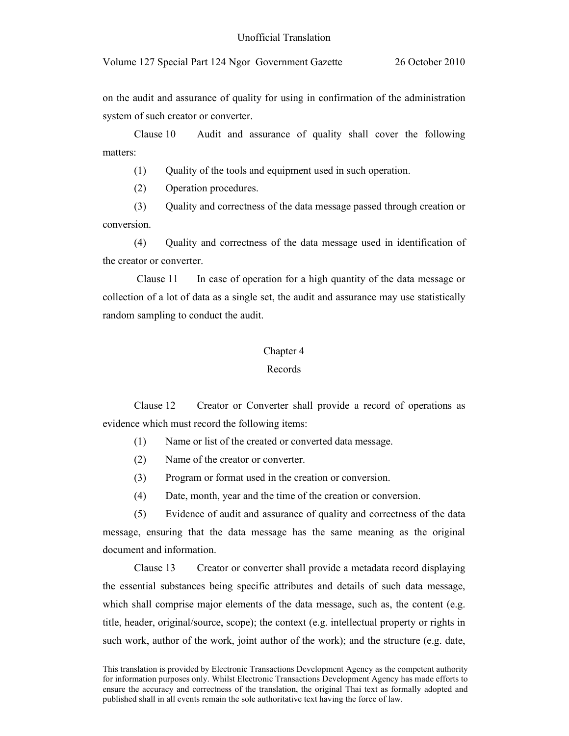on the audit and assurance of quality for using in confirmation of the administration system of such creator or converter.

Clause 10 Audit and assurance of quality shall cover the following matters:

(1) Quality of the tools and equipment used in such operation.

(2) Operation procedures.

(3) Quality and correctness of the data message passed through creation or conversion.

(4) Quality and correctness of the data message used in identification of the creator or converter.

 Clause 11 In case of operation for a high quantity of the data message or collection of a lot of data as a single set, the audit and assurance may use statistically random sampling to conduct the audit.

#### Chapter 4

## Records

Clause 12 Creator or Converter shall provide a record of operations as evidence which must record the following items:

(1) Name or list of the created or converted data message.

- (2) Name of the creator or converter.
- (3) Program or format used in the creation or conversion.
- (4) Date, month, year and the time of the creation or conversion.

(5) Evidence of audit and assurance of quality and correctness of the data message, ensuring that the data message has the same meaning as the original document and information.

Clause 13 Creator or converter shall provide a metadata record displaying the essential substances being specific attributes and details of such data message, which shall comprise major elements of the data message, such as, the content (e.g. title, header, original/source, scope); the context (e.g. intellectual property or rights in such work, author of the work, joint author of the work); and the structure (e.g. date,

This translation is provided by Electronic Transactions Development Agency as the competent authority for information purposes only. Whilst Electronic Transactions Development Agency has made efforts to ensure the accuracy and correctness of the translation, the original Thai text as formally adopted and published shall in all events remain the sole authoritative text having the force of law.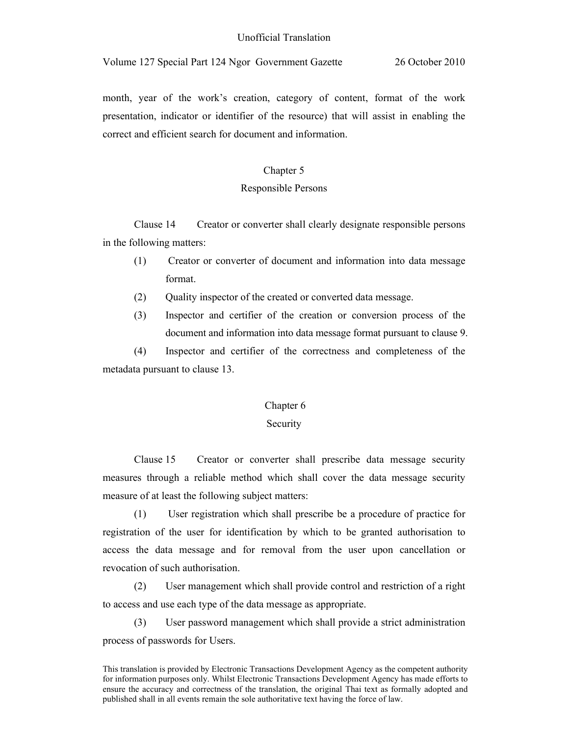month, year of the work's creation, category of content, format of the work presentation, indicator or identifier of the resource) that will assist in enabling the correct and efficient search for document and information.

# Chapter 5

# Responsible Persons

Clause 14 Creator or converter shall clearly designate responsible persons in the following matters:

- (1) Creator or converter of document and information into data message format.
- (2) Quality inspector of the created or converted data message.
- (3) Inspector and certifier of the creation or conversion process of the document and information into data message format pursuant to clause 9.

(4) Inspector and certifier of the correctness and completeness of the metadata pursuant to clause 13.

### Chapter 6

### Security

Clause 15 Creator or converter shall prescribe data message security measures through a reliable method which shall cover the data message security measure of at least the following subject matters:

(1) User registration which shall prescribe be a procedure of practice for registration of the user for identification by which to be granted authorisation to access the data message and for removal from the user upon cancellation or revocation of such authorisation.

(2) User management which shall provide control and restriction of a right to access and use each type of the data message as appropriate.

(3) User password management which shall provide a strict administration process of passwords for Users.

This translation is provided by Electronic Transactions Development Agency as the competent authority for information purposes only. Whilst Electronic Transactions Development Agency has made efforts to ensure the accuracy and correctness of the translation, the original Thai text as formally adopted and published shall in all events remain the sole authoritative text having the force of law.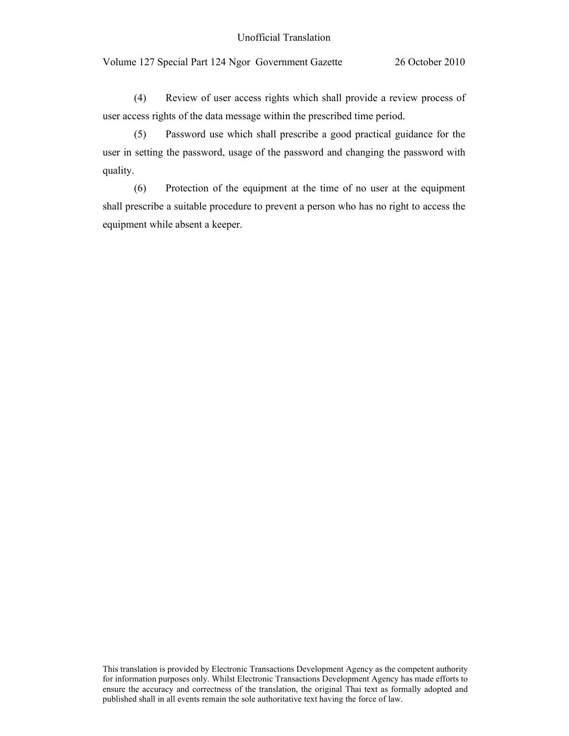## Unofficial Translation

Volume 127 Special Part 124 Ngor Government Gazette 26 October 2010

(4) Review of user access rights which shall provide a review process of user access rights of the data message within the prescribed time period.

(5) Password use which shall prescribe a good practical guidance for the user in setting the password, usage of the password and changing the password with quality.

(6) Protection of the equipment at the time of no user at the equipment shall prescribe a suitable procedure to prevent a person who has no right to access the equipment while absent a keeper.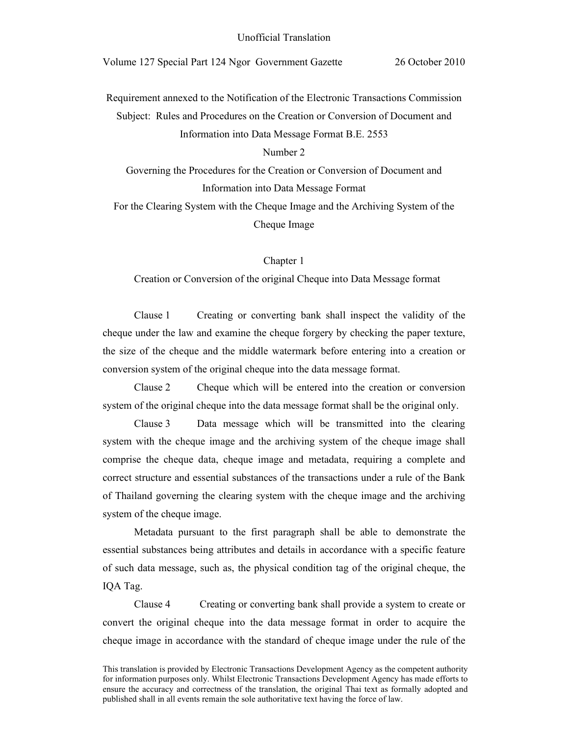Requirement annexed to the Notification of the Electronic Transactions Commission Subject: Rules and Procedures on the Creation or Conversion of Document and Information into Data Message Format B.E. 2553

# Number 2

Governing the Procedures for the Creation or Conversion of Document and Information into Data Message Format

For the Clearing System with the Cheque Image and the Archiving System of the Cheque Image

Chapter 1

Creation or Conversion of the original Cheque into Data Message format

Clause 1 Creating or converting bank shall inspect the validity of the cheque under the law and examine the cheque forgery by checking the paper texture, the size of the cheque and the middle watermark before entering into a creation or conversion system of the original cheque into the data message format.

Clause 2 Cheque which will be entered into the creation or conversion system of the original cheque into the data message format shall be the original only.

Clause 3 Data message which will be transmitted into the clearing system with the cheque image and the archiving system of the cheque image shall comprise the cheque data, cheque image and metadata, requiring a complete and correct structure and essential substances of the transactions under a rule of the Bank of Thailand governing the clearing system with the cheque image and the archiving system of the cheque image.

Metadata pursuant to the first paragraph shall be able to demonstrate the essential substances being attributes and details in accordance with a specific feature of such data message, such as, the physical condition tag of the original cheque, the IQA Tag.

Clause 4 Creating or converting bank shall provide a system to create or convert the original cheque into the data message format in order to acquire the cheque image in accordance with the standard of cheque image under the rule of the

This translation is provided by Electronic Transactions Development Agency as the competent authority for information purposes only. Whilst Electronic Transactions Development Agency has made efforts to ensure the accuracy and correctness of the translation, the original Thai text as formally adopted and published shall in all events remain the sole authoritative text having the force of law.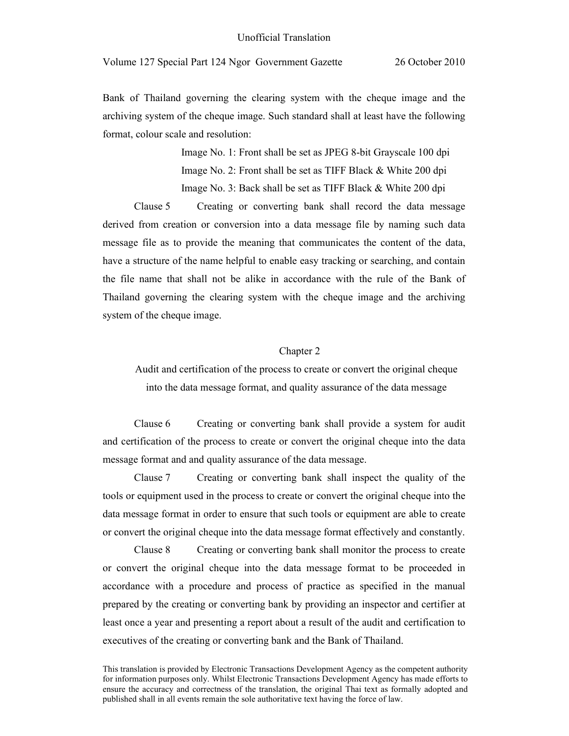Bank of Thailand governing the clearing system with the cheque image and the archiving system of the cheque image. Such standard shall at least have the following format, colour scale and resolution:

> Image No. 1: Front shall be set as JPEG 8-bit Grayscale 100 dpi Image No. 2: Front shall be set as TIFF Black & White 200 dpi Image No. 3: Back shall be set as TIFF Black & White 200 dpi

Clause 5 Creating or converting bank shall record the data message derived from creation or conversion into a data message file by naming such data message file as to provide the meaning that communicates the content of the data, have a structure of the name helpful to enable easy tracking or searching, and contain the file name that shall not be alike in accordance with the rule of the Bank of Thailand governing the clearing system with the cheque image and the archiving system of the cheque image.

### Chapter 2

Audit and certification of the process to create or convert the original cheque into the data message format, and quality assurance of the data message

Clause 6 Creating or converting bank shall provide a system for audit and certification of the process to create or convert the original cheque into the data message format and and quality assurance of the data message.

Clause 7 Creating or converting bank shall inspect the quality of the tools or equipment used in the process to create or convert the original cheque into the data message format in order to ensure that such tools or equipment are able to create or convert the original cheque into the data message format effectively and constantly.

Clause 8 Creating or converting bank shall monitor the process to create or convert the original cheque into the data message format to be proceeded in accordance with a procedure and process of practice as specified in the manual prepared by the creating or converting bank by providing an inspector and certifier at least once a year and presenting a report about a result of the audit and certification to executives of the creating or converting bank and the Bank of Thailand.

This translation is provided by Electronic Transactions Development Agency as the competent authority for information purposes only. Whilst Electronic Transactions Development Agency has made efforts to ensure the accuracy and correctness of the translation, the original Thai text as formally adopted and published shall in all events remain the sole authoritative text having the force of law.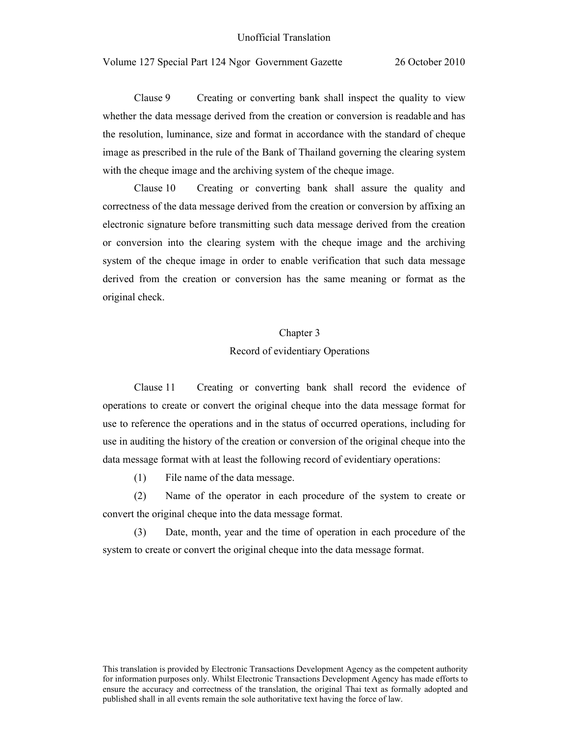Clause 9 Creating or converting bank shall inspect the quality to view whether the data message derived from the creation or conversion is readable and has the resolution, luminance, size and format in accordance with the standard of cheque image as prescribed in the rule of the Bank of Thailand governing the clearing system with the cheque image and the archiving system of the cheque image.

Clause 10 Creating or converting bank shall assure the quality and correctness of the data message derived from the creation or conversion by affixing an electronic signature before transmitting such data message derived from the creation or conversion into the clearing system with the cheque image and the archiving system of the cheque image in order to enable verification that such data message derived from the creation or conversion has the same meaning or format as the original check.

### Chapter 3

#### Record of evidentiary Operations

Clause 11 Creating or converting bank shall record the evidence of operations to create or convert the original cheque into the data message format for use to reference the operations and in the status of occurred operations, including for use in auditing the history of the creation or conversion of the original cheque into the data message format with at least the following record of evidentiary operations:

(1) File name of the data message.

(2) Name of the operator in each procedure of the system to create or convert the original cheque into the data message format.

(3) Date, month, year and the time of operation in each procedure of the system to create or convert the original cheque into the data message format.